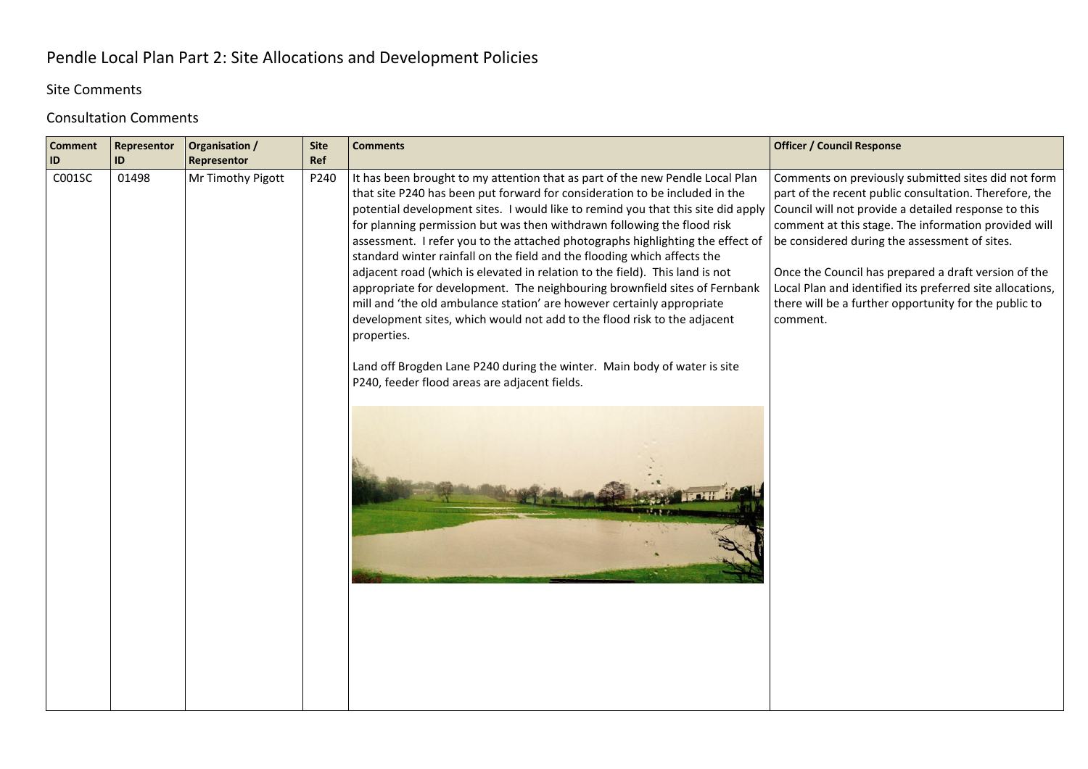## Pendle Local Plan Part 2: Site Allocations and Development Policies

## Site Comments

## Consultation Comments

| <b>Comment</b><br>ID | Representor<br>ID | Organisation /<br>Representor | <b>Site</b><br>Ref | <b>Comments</b>                                                                                                                                                                                                                                                                                                                                                                                                                                                                                                                                                                                                                                                                                                                                                                                                                                                                                                                                           | <b>Officer / Council Response</b>                                                                                                                                                                                                                                                                                                                                                                                                                                        |
|----------------------|-------------------|-------------------------------|--------------------|-----------------------------------------------------------------------------------------------------------------------------------------------------------------------------------------------------------------------------------------------------------------------------------------------------------------------------------------------------------------------------------------------------------------------------------------------------------------------------------------------------------------------------------------------------------------------------------------------------------------------------------------------------------------------------------------------------------------------------------------------------------------------------------------------------------------------------------------------------------------------------------------------------------------------------------------------------------|--------------------------------------------------------------------------------------------------------------------------------------------------------------------------------------------------------------------------------------------------------------------------------------------------------------------------------------------------------------------------------------------------------------------------------------------------------------------------|
| C001SC               | 01498             | Mr Timothy Pigott             | P240               | It has been brought to my attention that as part of the new Pendle Local Plan<br>that site P240 has been put forward for consideration to be included in the<br>potential development sites. I would like to remind you that this site did apply<br>for planning permission but was then withdrawn following the flood risk<br>assessment. I refer you to the attached photographs highlighting the effect of<br>standard winter rainfall on the field and the flooding which affects the<br>adjacent road (which is elevated in relation to the field). This land is not<br>appropriate for development. The neighbouring brownfield sites of Fernbank<br>mill and 'the old ambulance station' are however certainly appropriate<br>development sites, which would not add to the flood risk to the adjacent<br>properties.<br>Land off Brogden Lane P240 during the winter. Main body of water is site<br>P240, feeder flood areas are adjacent fields. | Comments on previously submitted sites did not form<br>part of the recent public consultation. Therefore, the<br>Council will not provide a detailed response to this<br>comment at this stage. The information provided will<br>be considered during the assessment of sites.<br>Once the Council has prepared a draft version of the<br>Local Plan and identified its preferred site allocations,<br>there will be a further opportunity for the public to<br>comment. |
|                      |                   |                               |                    |                                                                                                                                                                                                                                                                                                                                                                                                                                                                                                                                                                                                                                                                                                                                                                                                                                                                                                                                                           |                                                                                                                                                                                                                                                                                                                                                                                                                                                                          |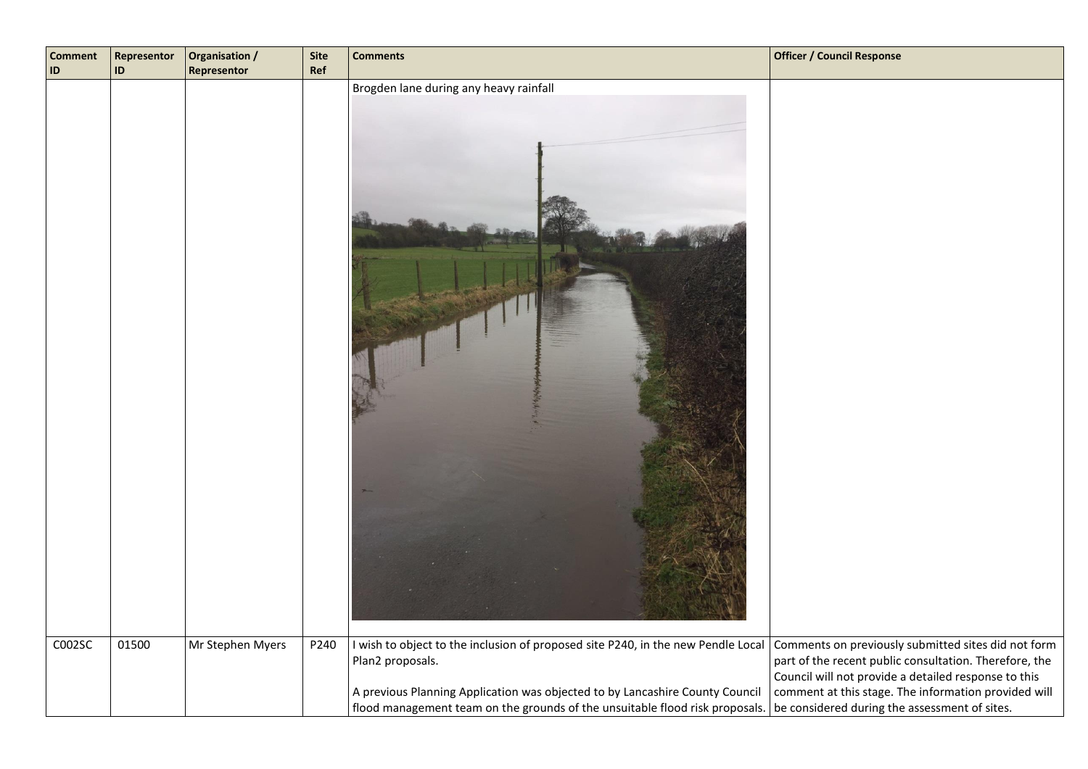| <b>Comment</b><br>ID | Representor<br><b>ID</b> | Organisation /<br>Representor | <b>Site</b><br>Ref | <b>Comments</b>                                                                                                              | <b>Officer / Council Response</b>                                                                              |
|----------------------|--------------------------|-------------------------------|--------------------|------------------------------------------------------------------------------------------------------------------------------|----------------------------------------------------------------------------------------------------------------|
| COO2SC               | 01500                    | Mr Stephen Myers              | P240               | Brogden lane during any heavy rainfall<br>I wish to object to the inclusion of proposed site P240, in the new Pendle Local   | Comments on previously submitted sites did not form                                                            |
|                      |                          |                               |                    | Plan2 proposals.                                                                                                             | part of the recent public consultation. Therefore, the<br>Council will not provide a detailed response to this |
|                      |                          |                               |                    | A previous Planning Application was objected to by Lancashire County Council                                                 | comment at this stage. The information provided will                                                           |
|                      |                          |                               |                    | flood management team on the grounds of the unsuitable flood risk proposals.   be considered during the assessment of sites. |                                                                                                                |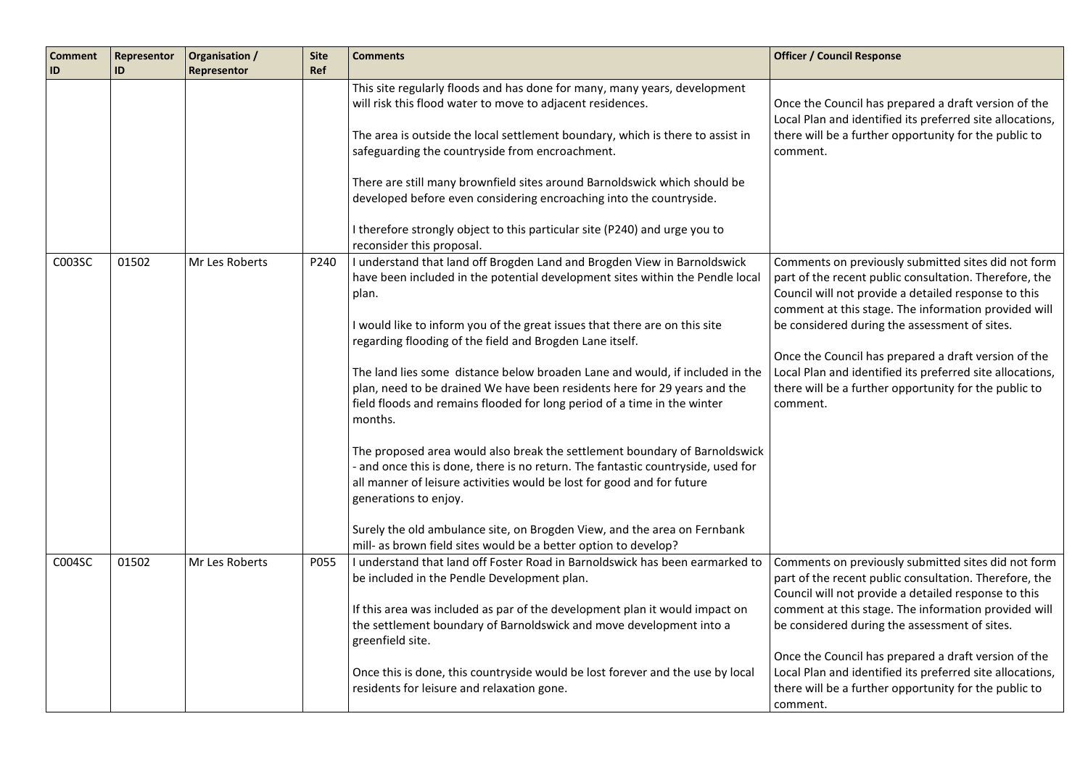| <b>Comment</b><br>ID | Representor<br>ID | Organisation /<br>Representor | <b>Site</b><br>Ref | <b>Comments</b>                                                                                                                                                                                                                                                                                                                                                                                                                                                                                                                                                                                                                                                                                                                                                                                                                                                                                                                                                                                                   | <b>Officer / Council Response</b>                                                                                                                                                                                                                                                                                                                                                                                                                                        |
|----------------------|-------------------|-------------------------------|--------------------|-------------------------------------------------------------------------------------------------------------------------------------------------------------------------------------------------------------------------------------------------------------------------------------------------------------------------------------------------------------------------------------------------------------------------------------------------------------------------------------------------------------------------------------------------------------------------------------------------------------------------------------------------------------------------------------------------------------------------------------------------------------------------------------------------------------------------------------------------------------------------------------------------------------------------------------------------------------------------------------------------------------------|--------------------------------------------------------------------------------------------------------------------------------------------------------------------------------------------------------------------------------------------------------------------------------------------------------------------------------------------------------------------------------------------------------------------------------------------------------------------------|
|                      |                   |                               |                    | This site regularly floods and has done for many, many years, development<br>will risk this flood water to move to adjacent residences.<br>The area is outside the local settlement boundary, which is there to assist in<br>safeguarding the countryside from encroachment.<br>There are still many brownfield sites around Barnoldswick which should be<br>developed before even considering encroaching into the countryside.<br>I therefore strongly object to this particular site (P240) and urge you to                                                                                                                                                                                                                                                                                                                                                                                                                                                                                                    | Once the Council has prepared a draft version of the<br>Local Plan and identified its preferred site allocations,<br>there will be a further opportunity for the public to<br>comment.                                                                                                                                                                                                                                                                                   |
| C003SC               | 01502             | Mr Les Roberts                | P240               | reconsider this proposal.<br>I understand that land off Brogden Land and Brogden View in Barnoldswick<br>have been included in the potential development sites within the Pendle local<br>plan.<br>I would like to inform you of the great issues that there are on this site<br>regarding flooding of the field and Brogden Lane itself.<br>The land lies some distance below broaden Lane and would, if included in the<br>plan, need to be drained We have been residents here for 29 years and the<br>field floods and remains flooded for long period of a time in the winter<br>months.<br>The proposed area would also break the settlement boundary of Barnoldswick<br>- and once this is done, there is no return. The fantastic countryside, used for<br>all manner of leisure activities would be lost for good and for future<br>generations to enjoy.<br>Surely the old ambulance site, on Brogden View, and the area on Fernbank<br>mill- as brown field sites would be a better option to develop? | Comments on previously submitted sites did not form<br>part of the recent public consultation. Therefore, the<br>Council will not provide a detailed response to this<br>comment at this stage. The information provided will<br>be considered during the assessment of sites.<br>Once the Council has prepared a draft version of the<br>Local Plan and identified its preferred site allocations,<br>there will be a further opportunity for the public to<br>comment. |
| C004SC               | 01502             | Mr Les Roberts                | P055               | I understand that land off Foster Road in Barnoldswick has been earmarked to<br>be included in the Pendle Development plan.<br>If this area was included as par of the development plan it would impact on<br>the settlement boundary of Barnoldswick and move development into a<br>greenfield site.<br>Once this is done, this countryside would be lost forever and the use by local<br>residents for leisure and relaxation gone.                                                                                                                                                                                                                                                                                                                                                                                                                                                                                                                                                                             | Comments on previously submitted sites did not form<br>part of the recent public consultation. Therefore, the<br>Council will not provide a detailed response to this<br>comment at this stage. The information provided will<br>be considered during the assessment of sites.<br>Once the Council has prepared a draft version of the<br>Local Plan and identified its preferred site allocations,<br>there will be a further opportunity for the public to<br>comment. |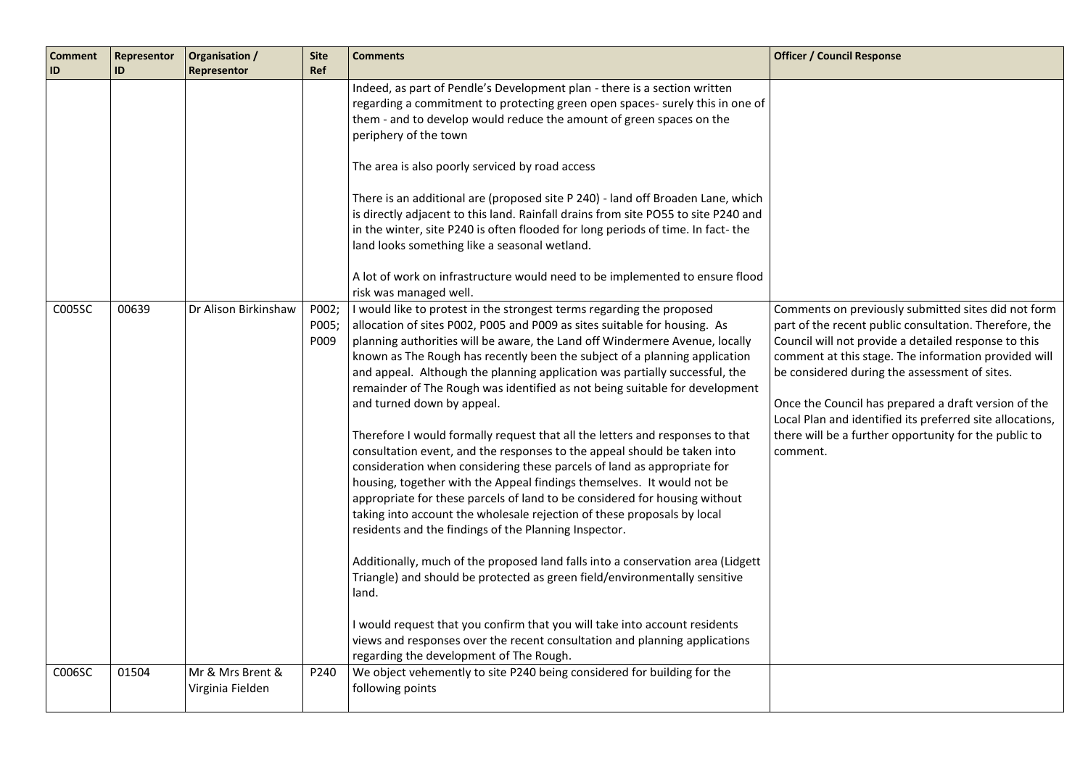| <b>Comment</b><br>ID | Representor<br>ID | Organisation /<br>Representor        | <b>Site</b><br>Ref     | <b>Comments</b>                                                                                                                                                                                                                                                                                                                                                                                                                                                                                                                                                                                                                                                                                                                                                                                                                                                                                                                                                                                                                                                                                                                                                                                                                                                                                                                                                                                                                  | <b>Officer / Council Response</b>                                                                                                                                                                                                                                                                                                                                                                                                                                        |
|----------------------|-------------------|--------------------------------------|------------------------|----------------------------------------------------------------------------------------------------------------------------------------------------------------------------------------------------------------------------------------------------------------------------------------------------------------------------------------------------------------------------------------------------------------------------------------------------------------------------------------------------------------------------------------------------------------------------------------------------------------------------------------------------------------------------------------------------------------------------------------------------------------------------------------------------------------------------------------------------------------------------------------------------------------------------------------------------------------------------------------------------------------------------------------------------------------------------------------------------------------------------------------------------------------------------------------------------------------------------------------------------------------------------------------------------------------------------------------------------------------------------------------------------------------------------------|--------------------------------------------------------------------------------------------------------------------------------------------------------------------------------------------------------------------------------------------------------------------------------------------------------------------------------------------------------------------------------------------------------------------------------------------------------------------------|
|                      |                   |                                      |                        | Indeed, as part of Pendle's Development plan - there is a section written<br>regarding a commitment to protecting green open spaces- surely this in one of<br>them - and to develop would reduce the amount of green spaces on the<br>periphery of the town<br>The area is also poorly serviced by road access<br>There is an additional are (proposed site P 240) - land off Broaden Lane, which<br>is directly adjacent to this land. Rainfall drains from site PO55 to site P240 and<br>in the winter, site P240 is often flooded for long periods of time. In fact-the<br>land looks something like a seasonal wetland.<br>A lot of work on infrastructure would need to be implemented to ensure flood<br>risk was managed well.                                                                                                                                                                                                                                                                                                                                                                                                                                                                                                                                                                                                                                                                                            |                                                                                                                                                                                                                                                                                                                                                                                                                                                                          |
| C005SC               | 00639             | Dr Alison Birkinshaw                 | P002;<br>P005;<br>P009 | I would like to protest in the strongest terms regarding the proposed<br>allocation of sites P002, P005 and P009 as sites suitable for housing. As<br>planning authorities will be aware, the Land off Windermere Avenue, locally<br>known as The Rough has recently been the subject of a planning application<br>and appeal. Although the planning application was partially successful, the<br>remainder of The Rough was identified as not being suitable for development<br>and turned down by appeal.<br>Therefore I would formally request that all the letters and responses to that<br>consultation event, and the responses to the appeal should be taken into<br>consideration when considering these parcels of land as appropriate for<br>housing, together with the Appeal findings themselves. It would not be<br>appropriate for these parcels of land to be considered for housing without<br>taking into account the wholesale rejection of these proposals by local<br>residents and the findings of the Planning Inspector.<br>Additionally, much of the proposed land falls into a conservation area (Lidgett<br>Triangle) and should be protected as green field/environmentally sensitive<br>land.<br>I would request that you confirm that you will take into account residents<br>views and responses over the recent consultation and planning applications<br>regarding the development of The Rough. | Comments on previously submitted sites did not form<br>part of the recent public consultation. Therefore, the<br>Council will not provide a detailed response to this<br>comment at this stage. The information provided will<br>be considered during the assessment of sites.<br>Once the Council has prepared a draft version of the<br>Local Plan and identified its preferred site allocations,<br>there will be a further opportunity for the public to<br>comment. |
| C006SC               | 01504             | Mr & Mrs Brent &<br>Virginia Fielden | P240                   | We object vehemently to site P240 being considered for building for the<br>following points                                                                                                                                                                                                                                                                                                                                                                                                                                                                                                                                                                                                                                                                                                                                                                                                                                                                                                                                                                                                                                                                                                                                                                                                                                                                                                                                      |                                                                                                                                                                                                                                                                                                                                                                                                                                                                          |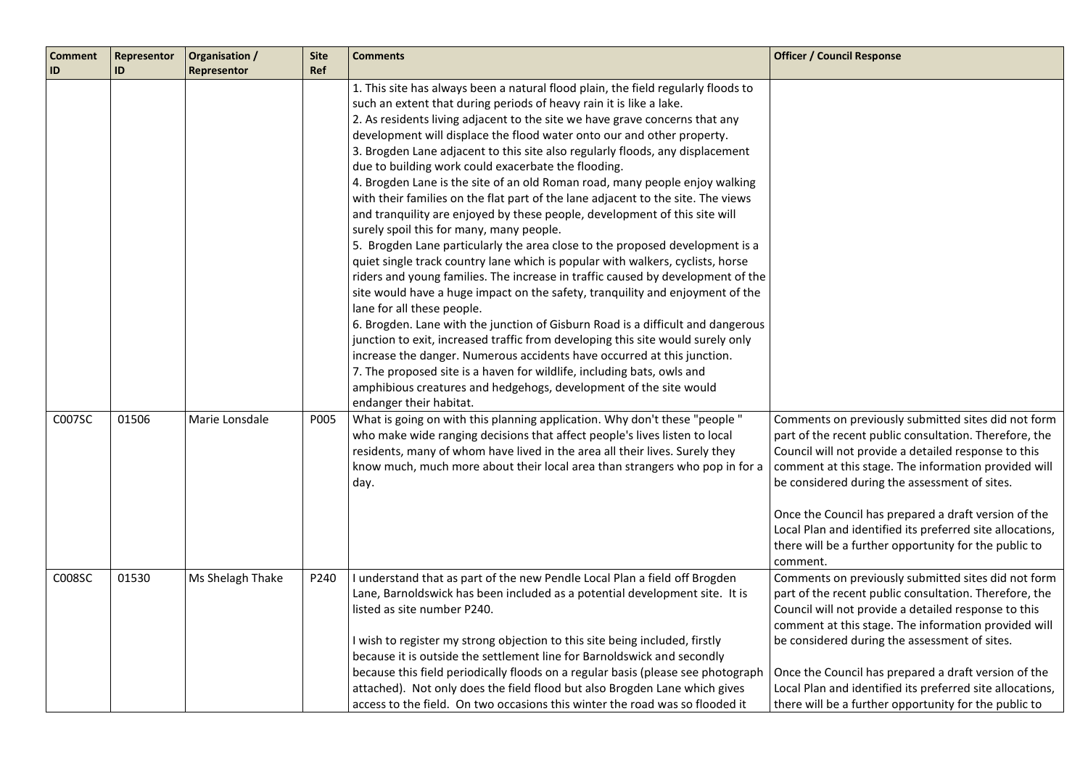| <b>Comment</b><br>ID | Representor<br>ID | Organisation /<br>Representor | <b>Site</b><br>Ref | <b>Comments</b>                                                                                                                                                                                                                                                                                                                                                                                                                                                                                                                                                                                                                                                                                                                                                                                                                                                                                                                                                                                                                                                                                                                                                                                                                                                                                                                                                                                                                                                                                                                                       | <b>Officer / Council Response</b>                                                                                                                                                                                                                                                                                                                                                                                                                                        |
|----------------------|-------------------|-------------------------------|--------------------|-------------------------------------------------------------------------------------------------------------------------------------------------------------------------------------------------------------------------------------------------------------------------------------------------------------------------------------------------------------------------------------------------------------------------------------------------------------------------------------------------------------------------------------------------------------------------------------------------------------------------------------------------------------------------------------------------------------------------------------------------------------------------------------------------------------------------------------------------------------------------------------------------------------------------------------------------------------------------------------------------------------------------------------------------------------------------------------------------------------------------------------------------------------------------------------------------------------------------------------------------------------------------------------------------------------------------------------------------------------------------------------------------------------------------------------------------------------------------------------------------------------------------------------------------------|--------------------------------------------------------------------------------------------------------------------------------------------------------------------------------------------------------------------------------------------------------------------------------------------------------------------------------------------------------------------------------------------------------------------------------------------------------------------------|
|                      |                   |                               |                    | 1. This site has always been a natural flood plain, the field regularly floods to<br>such an extent that during periods of heavy rain it is like a lake.<br>2. As residents living adjacent to the site we have grave concerns that any<br>development will displace the flood water onto our and other property.<br>3. Brogden Lane adjacent to this site also regularly floods, any displacement<br>due to building work could exacerbate the flooding.<br>4. Brogden Lane is the site of an old Roman road, many people enjoy walking<br>with their families on the flat part of the lane adjacent to the site. The views<br>and tranquility are enjoyed by these people, development of this site will<br>surely spoil this for many, many people.<br>5. Brogden Lane particularly the area close to the proposed development is a<br>quiet single track country lane which is popular with walkers, cyclists, horse<br>riders and young families. The increase in traffic caused by development of the<br>site would have a huge impact on the safety, tranquility and enjoyment of the<br>lane for all these people.<br>6. Brogden. Lane with the junction of Gisburn Road is a difficult and dangerous<br>junction to exit, increased traffic from developing this site would surely only<br>increase the danger. Numerous accidents have occurred at this junction.<br>7. The proposed site is a haven for wildlife, including bats, owls and<br>amphibious creatures and hedgehogs, development of the site would<br>endanger their habitat. |                                                                                                                                                                                                                                                                                                                                                                                                                                                                          |
| C007SC               | 01506             | Marie Lonsdale                | P005               | What is going on with this planning application. Why don't these "people "<br>who make wide ranging decisions that affect people's lives listen to local<br>residents, many of whom have lived in the area all their lives. Surely they<br>know much, much more about their local area than strangers who pop in for a<br>day.                                                                                                                                                                                                                                                                                                                                                                                                                                                                                                                                                                                                                                                                                                                                                                                                                                                                                                                                                                                                                                                                                                                                                                                                                        | Comments on previously submitted sites did not form<br>part of the recent public consultation. Therefore, the<br>Council will not provide a detailed response to this<br>comment at this stage. The information provided will<br>be considered during the assessment of sites.<br>Once the Council has prepared a draft version of the<br>Local Plan and identified its preferred site allocations,<br>there will be a further opportunity for the public to<br>comment. |
| C008SC               | 01530             | Ms Shelagh Thake              | P240               | I understand that as part of the new Pendle Local Plan a field off Brogden<br>Lane, Barnoldswick has been included as a potential development site. It is<br>listed as site number P240.<br>I wish to register my strong objection to this site being included, firstly<br>because it is outside the settlement line for Barnoldswick and secondly<br>because this field periodically floods on a regular basis (please see photograph<br>attached). Not only does the field flood but also Brogden Lane which gives<br>access to the field. On two occasions this winter the road was so flooded it                                                                                                                                                                                                                                                                                                                                                                                                                                                                                                                                                                                                                                                                                                                                                                                                                                                                                                                                                  | Comments on previously submitted sites did not form<br>part of the recent public consultation. Therefore, the<br>Council will not provide a detailed response to this<br>comment at this stage. The information provided will<br>be considered during the assessment of sites.<br>Once the Council has prepared a draft version of the<br>Local Plan and identified its preferred site allocations,<br>there will be a further opportunity for the public to             |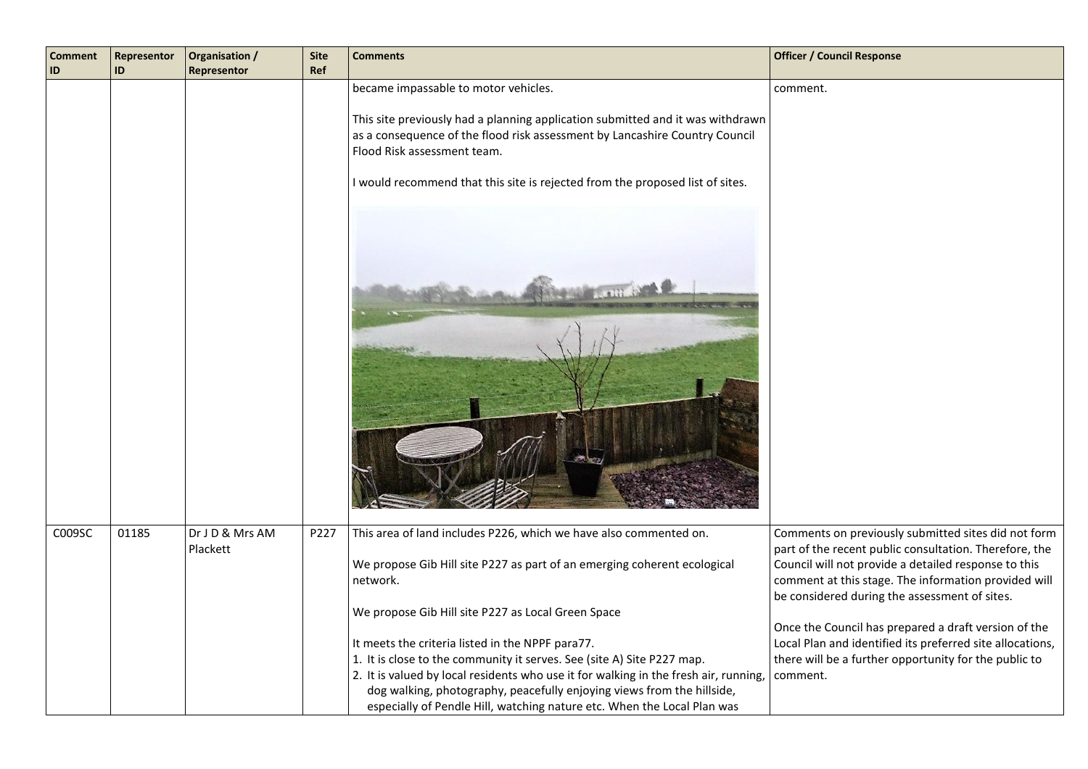| <b>Comment</b><br>ID | Representor<br>ID | Organisation /<br>Representor | <b>Site</b><br>Ref | <b>Comments</b>                                                                                                                                                                                                                                                                                                                                                         | <b>Officer / Council Response</b>                                                                                                                                                                                                                                                                                                      |
|----------------------|-------------------|-------------------------------|--------------------|-------------------------------------------------------------------------------------------------------------------------------------------------------------------------------------------------------------------------------------------------------------------------------------------------------------------------------------------------------------------------|----------------------------------------------------------------------------------------------------------------------------------------------------------------------------------------------------------------------------------------------------------------------------------------------------------------------------------------|
|                      |                   |                               |                    | became impassable to motor vehicles.<br>This site previously had a planning application submitted and it was withdrawn<br>as a consequence of the flood risk assessment by Lancashire Country Council<br>Flood Risk assessment team.<br>I would recommend that this site is rejected from the proposed list of sites.                                                   | comment.                                                                                                                                                                                                                                                                                                                               |
| C009SC               | 01185             | Dr J D & Mrs AM<br>Plackett   | P227               | This area of land includes P226, which we have also commented on.<br>We propose Gib Hill site P227 as part of an emerging coherent ecological<br>network.<br>We propose Gib Hill site P227 as Local Green Space                                                                                                                                                         | Comments on previously submitted sites did not form<br>part of the recent public consultation. Therefore, the<br>Council will not provide a detailed response to this<br>comment at this stage. The information provided will<br>be considered during the assessment of sites.<br>Once the Council has prepared a draft version of the |
|                      |                   |                               |                    | It meets the criteria listed in the NPPF para77.<br>1. It is close to the community it serves. See (site A) Site P227 map.<br>2. It is valued by local residents who use it for walking in the fresh air, running,<br>dog walking, photography, peacefully enjoying views from the hillside,<br>especially of Pendle Hill, watching nature etc. When the Local Plan was | Local Plan and identified its preferred site allocations,<br>there will be a further opportunity for the public to<br>comment.                                                                                                                                                                                                         |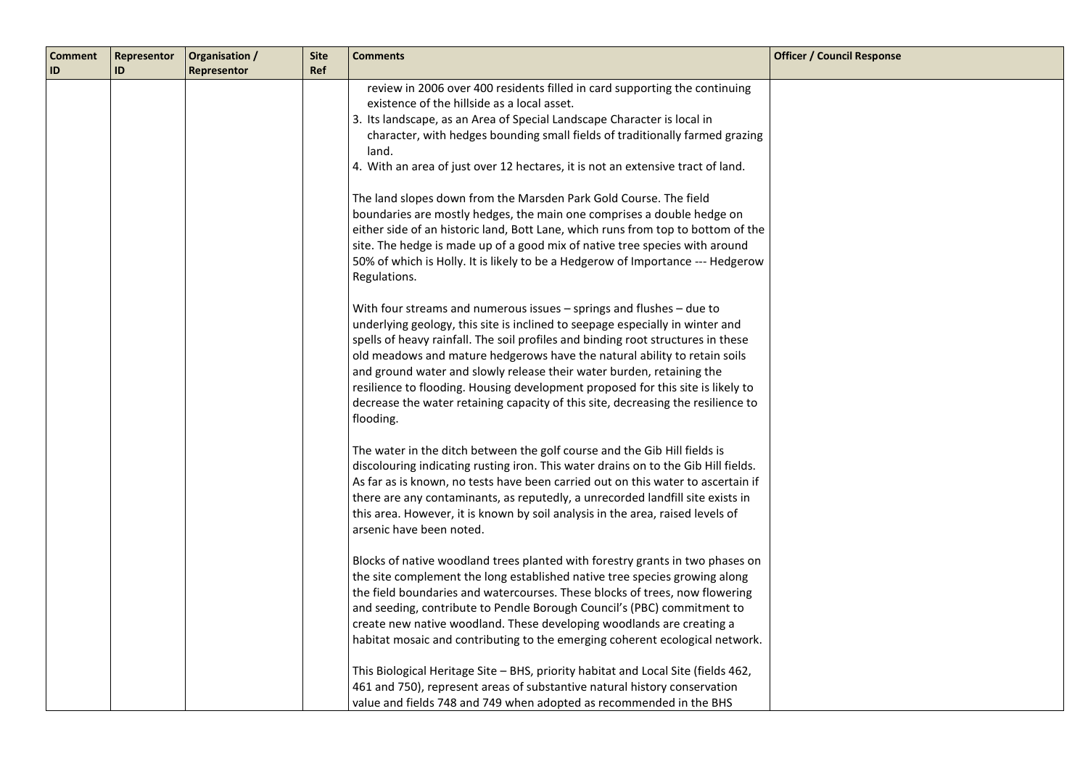| <b>Comment</b><br>ID | Representor<br>ID | Organisation /<br>Representor | <b>Site</b><br>Ref | <b>Comments</b>                                                                                                                                                                                                                                                                                                                                                                                                                                                                                                                                                                                                                                                                                                                                                                                       | <b>Officer / Council Response</b> |
|----------------------|-------------------|-------------------------------|--------------------|-------------------------------------------------------------------------------------------------------------------------------------------------------------------------------------------------------------------------------------------------------------------------------------------------------------------------------------------------------------------------------------------------------------------------------------------------------------------------------------------------------------------------------------------------------------------------------------------------------------------------------------------------------------------------------------------------------------------------------------------------------------------------------------------------------|-----------------------------------|
|                      |                   |                               |                    | review in 2006 over 400 residents filled in card supporting the continuing<br>existence of the hillside as a local asset.<br>3. Its landscape, as an Area of Special Landscape Character is local in<br>character, with hedges bounding small fields of traditionally farmed grazing<br>land.<br>4. With an area of just over 12 hectares, it is not an extensive tract of land.<br>The land slopes down from the Marsden Park Gold Course. The field<br>boundaries are mostly hedges, the main one comprises a double hedge on<br>either side of an historic land, Bott Lane, which runs from top to bottom of the<br>site. The hedge is made up of a good mix of native tree species with around<br>50% of which is Holly. It is likely to be a Hedgerow of Importance --- Hedgerow<br>Regulations. |                                   |
|                      |                   |                               |                    | With four streams and numerous issues - springs and flushes - due to<br>underlying geology, this site is inclined to seepage especially in winter and<br>spells of heavy rainfall. The soil profiles and binding root structures in these<br>old meadows and mature hedgerows have the natural ability to retain soils<br>and ground water and slowly release their water burden, retaining the<br>resilience to flooding. Housing development proposed for this site is likely to<br>decrease the water retaining capacity of this site, decreasing the resilience to<br>flooding.                                                                                                                                                                                                                   |                                   |
|                      |                   |                               |                    | The water in the ditch between the golf course and the Gib Hill fields is<br>discolouring indicating rusting iron. This water drains on to the Gib Hill fields.<br>As far as is known, no tests have been carried out on this water to ascertain if<br>there are any contaminants, as reputedly, a unrecorded landfill site exists in<br>this area. However, it is known by soil analysis in the area, raised levels of<br>arsenic have been noted.                                                                                                                                                                                                                                                                                                                                                   |                                   |
|                      |                   |                               |                    | Blocks of native woodland trees planted with forestry grants in two phases on<br>the site complement the long established native tree species growing along<br>the field boundaries and watercourses. These blocks of trees, now flowering<br>and seeding, contribute to Pendle Borough Council's (PBC) commitment to<br>create new native woodland. These developing woodlands are creating a<br>habitat mosaic and contributing to the emerging coherent ecological network.                                                                                                                                                                                                                                                                                                                        |                                   |
|                      |                   |                               |                    | This Biological Heritage Site - BHS, priority habitat and Local Site (fields 462,<br>461 and 750), represent areas of substantive natural history conservation<br>value and fields 748 and 749 when adopted as recommended in the BHS                                                                                                                                                                                                                                                                                                                                                                                                                                                                                                                                                                 |                                   |